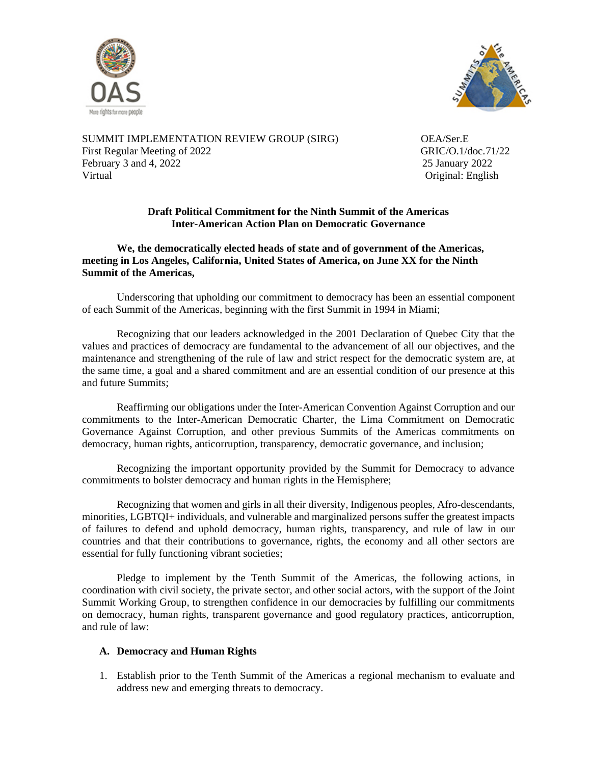



SUMMIT IMPLEMENTATION REVIEW GROUP (SIRG) OEA/Ser.E First Regular Meeting of 2022 GRIC/O.1/doc.71/22 February 3 and 4, 2022<br>
Virtual 25 January 2022<br>
25 January 2022<br>
25 January 2022

Original: English

# **Draft Political Commitment for the Ninth Summit of the Americas Inter-American Action Plan on Democratic Governance**

**We, the democratically elected heads of state and of government of the Americas, meeting in Los Angeles, California, United States of America, on June XX for the Ninth Summit of the Americas,**

Underscoring that upholding our commitment to democracy has been an essential component of each Summit of the Americas, beginning with the first Summit in 1994 in Miami;

Recognizing that our leaders acknowledged in the 2001 Declaration of Quebec City that the values and practices of democracy are fundamental to the advancement of all our objectives, and the maintenance and strengthening of the rule of law and strict respect for the democratic system are, at the same time, a goal and a shared commitment and are an essential condition of our presence at this and future Summits;

Reaffirming our obligations under the Inter-American Convention Against Corruption and our commitments to the Inter-American Democratic Charter, the Lima Commitment on Democratic Governance Against Corruption, and other previous Summits of the Americas commitments on democracy, human rights, anticorruption, transparency, democratic governance, and inclusion;

Recognizing the important opportunity provided by the Summit for Democracy to advance commitments to bolster democracy and human rights in the Hemisphere;

Recognizing that women and girls in all their diversity, Indigenous peoples, Afro-descendants, minorities, LGBTQI+ individuals, and vulnerable and marginalized persons suffer the greatest impacts of failures to defend and uphold democracy, human rights, transparency, and rule of law in our countries and that their contributions to governance, rights, the economy and all other sectors are essential for fully functioning vibrant societies;

Pledge to implement by the Tenth Summit of the Americas, the following actions, in coordination with civil society, the private sector, and other social actors, with the support of the Joint Summit Working Group, to strengthen confidence in our democracies by fulfilling our commitments on democracy, human rights, transparent governance and good regulatory practices, anticorruption, and rule of law:

## **A. Democracy and Human Rights**

1. Establish prior to the Tenth Summit of the Americas a regional mechanism to evaluate and address new and emerging threats to democracy.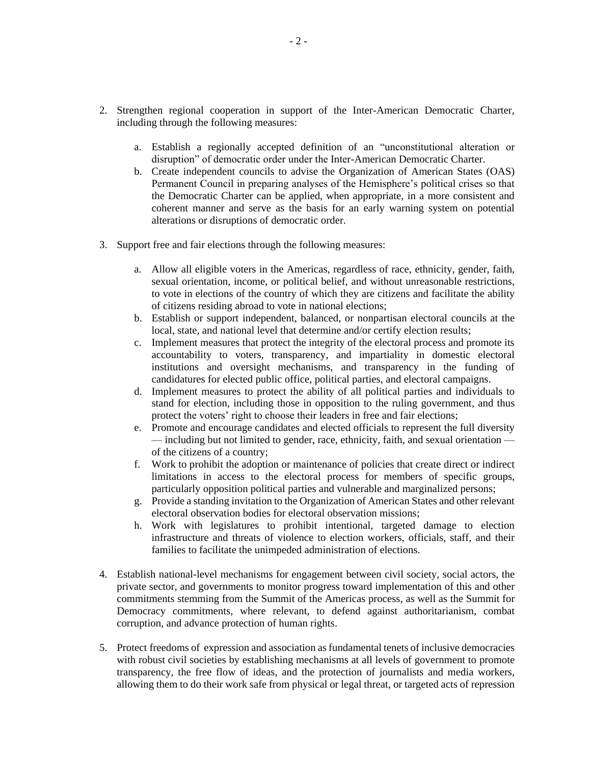- 2. Strengthen regional cooperation in support of the Inter-American Democratic Charter, including through the following measures:
	- a. Establish a regionally accepted definition of an "unconstitutional alteration or disruption" of democratic order under the Inter-American Democratic Charter.
	- b. Create independent councils to advise the Organization of American States (OAS) Permanent Council in preparing analyses of the Hemisphere's political crises so that the Democratic Charter can be applied, when appropriate, in a more consistent and coherent manner and serve as the basis for an early warning system on potential alterations or disruptions of democratic order.
- 3. Support free and fair elections through the following measures:
	- a. Allow all eligible voters in the Americas, regardless of race, ethnicity, gender, faith, sexual orientation, income, or political belief, and without unreasonable restrictions, to vote in elections of the country of which they are citizens and facilitate the ability of citizens residing abroad to vote in national elections;
	- b. Establish or support independent, balanced, or nonpartisan electoral councils at the local, state, and national level that determine and/or certify election results;
	- c. Implement measures that protect the integrity of the electoral process and promote its accountability to voters, transparency, and impartiality in domestic electoral institutions and oversight mechanisms, and transparency in the funding of candidatures for elected public office, political parties, and electoral campaigns.
	- d. Implement measures to protect the ability of all political parties and individuals to stand for election, including those in opposition to the ruling government, and thus protect the voters' right to choose their leaders in free and fair elections;
	- e. Promote and encourage candidates and elected officials to represent the full diversity — including but not limited to gender, race, ethnicity, faith, and sexual orientation of the citizens of a country;
	- f. Work to prohibit the adoption or maintenance of policies that create direct or indirect limitations in access to the electoral process for members of specific groups, particularly opposition political parties and vulnerable and marginalized persons;
	- g. Provide a standing invitation to the Organization of American States and other relevant electoral observation bodies for electoral observation missions;
	- h. Work with legislatures to prohibit intentional, targeted damage to election infrastructure and threats of violence to election workers, officials, staff, and their families to facilitate the unimpeded administration of elections.
- 4. Establish national-level mechanisms for engagement between civil society, social actors, the private sector, and governments to monitor progress toward implementation of this and other commitments stemming from the Summit of the Americas process, as well as the Summit for Democracy commitments, where relevant, to defend against authoritarianism, combat corruption, and advance protection of human rights.
- 5. Protect freedoms of expression and association as fundamental tenets of inclusive democracies with robust civil societies by establishing mechanisms at all levels of government to promote transparency, the free flow of ideas, and the protection of journalists and media workers, allowing them to do their work safe from physical or legal threat, or targeted acts of repression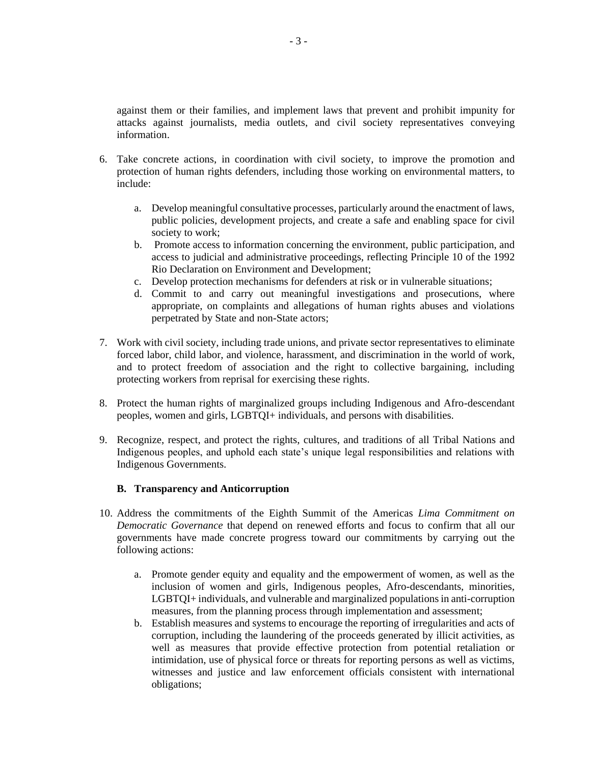against them or their families, and implement laws that prevent and prohibit impunity for attacks against journalists, media outlets, and civil society representatives conveying information.

- 6. Take concrete actions, in coordination with civil society, to improve the promotion and protection of human rights defenders, including those working on environmental matters, to include:
	- a. Develop meaningful consultative processes, particularly around the enactment of laws, public policies, development projects, and create a safe and enabling space for civil society to work;
	- b. Promote access to information concerning the environment, public participation, and access to judicial and administrative proceedings, reflecting Principle 10 of the 1992 Rio Declaration on Environment and Development;
	- c. Develop protection mechanisms for defenders at risk or in vulnerable situations;
	- d. Commit to and carry out meaningful investigations and prosecutions, where appropriate, on complaints and allegations of human rights abuses and violations perpetrated by State and non-State actors;
- 7. Work with civil society, including trade unions, and private sector representatives to eliminate forced labor, child labor, and violence, harassment, and discrimination in the world of work, and to protect freedom of association and the right to collective bargaining, including protecting workers from reprisal for exercising these rights.
- 8. Protect the human rights of marginalized groups including Indigenous and Afro-descendant peoples, women and girls, LGBTQI+ individuals, and persons with disabilities.
- 9. Recognize, respect, and protect the rights, cultures, and traditions of all Tribal Nations and Indigenous peoples, and uphold each state's unique legal responsibilities and relations with Indigenous Governments.

#### **B. Transparency and Anticorruption**

- 10. Address the commitments of the Eighth Summit of the Americas *Lima Commitment on Democratic Governance* that depend on renewed efforts and focus to confirm that all our governments have made concrete progress toward our commitments by carrying out the following actions:
	- a. Promote gender equity and equality and the empowerment of women, as well as the inclusion of women and girls, Indigenous peoples, Afro-descendants, minorities, LGBTQI+ individuals, and vulnerable and marginalized populations in anti-corruption measures, from the planning process through implementation and assessment;
	- b. Establish measures and systems to encourage the reporting of irregularities and acts of corruption, including the laundering of the proceeds generated by illicit activities, as well as measures that provide effective protection from potential retaliation or intimidation, use of physical force or threats for reporting persons as well as victims, witnesses and justice and law enforcement officials consistent with international obligations;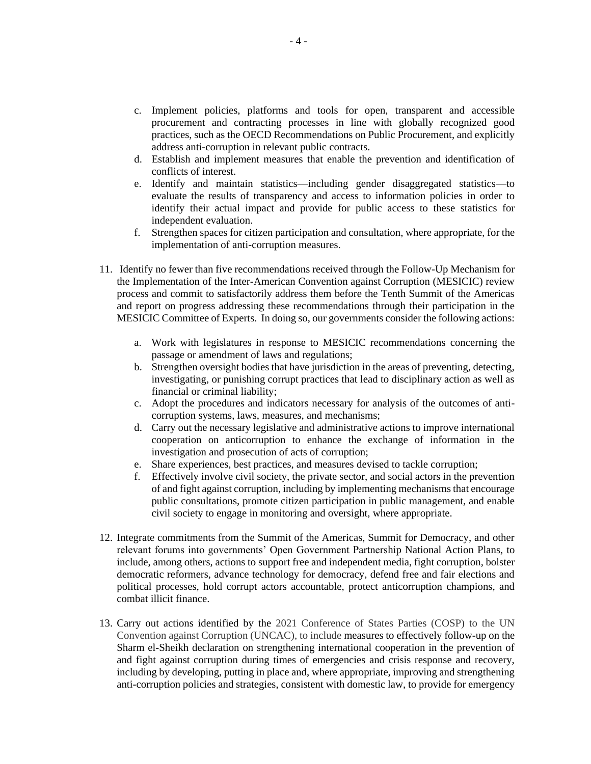- c. Implement policies, platforms and tools for open, transparent and accessible procurement and contracting processes in line with globally recognized good practices, such as the OECD Recommendations on Public Procurement, and explicitly address anti-corruption in relevant public contracts.
- d. Establish and implement measures that enable the prevention and identification of conflicts of interest.
- e. Identify and maintain statistics—including gender disaggregated statistics—to evaluate the results of transparency and access to information policies in order to identify their actual impact and provide for public access to these statistics for independent evaluation.
- f. Strengthen spaces for citizen participation and consultation, where appropriate, for the implementation of anti-corruption measures.
- 11. Identify no fewer than five recommendations received through the Follow-Up Mechanism for the Implementation of the Inter-American Convention against Corruption (MESICIC) review process and commit to satisfactorily address them before the Tenth Summit of the Americas and report on progress addressing these recommendations through their participation in the MESICIC Committee of Experts. In doing so, our governments consider the following actions:
	- a. Work with legislatures in response to MESICIC recommendations concerning the passage or amendment of laws and regulations;
	- b. Strengthen oversight bodies that have jurisdiction in the areas of preventing, detecting, investigating, or punishing corrupt practices that lead to disciplinary action as well as financial or criminal liability;
	- c. Adopt the procedures and indicators necessary for analysis of the outcomes of anticorruption systems, laws, measures, and mechanisms;
	- d. Carry out the necessary legislative and administrative actions to improve international cooperation on anticorruption to enhance the exchange of information in the investigation and prosecution of acts of corruption;
	- e. Share experiences, best practices, and measures devised to tackle corruption;
	- f. Effectively involve civil society, the private sector, and social actors in the prevention of and fight against corruption, including by implementing mechanisms that encourage public consultations, promote citizen participation in public management, and enable civil society to engage in monitoring and oversight, where appropriate.
- 12. Integrate commitments from the Summit of the Americas, Summit for Democracy, and other relevant forums into governments' Open Government Partnership National Action Plans, to include, among others, actions to support free and independent media, fight corruption, bolster democratic reformers, advance technology for democracy, defend free and fair elections and political processes, hold corrupt actors accountable, protect anticorruption champions, and combat illicit finance.
- 13. Carry out actions identified by the 2021 Conference of States Parties (COSP) to the UN Convention against Corruption (UNCAC), to include measures to effectively follow-up on the Sharm el-Sheikh declaration on strengthening international cooperation in the prevention of and fight against corruption during times of emergencies and crisis response and recovery, including by developing, putting in place and, where appropriate, improving and strengthening anti-corruption policies and strategies, consistent with domestic law, to provide for emergency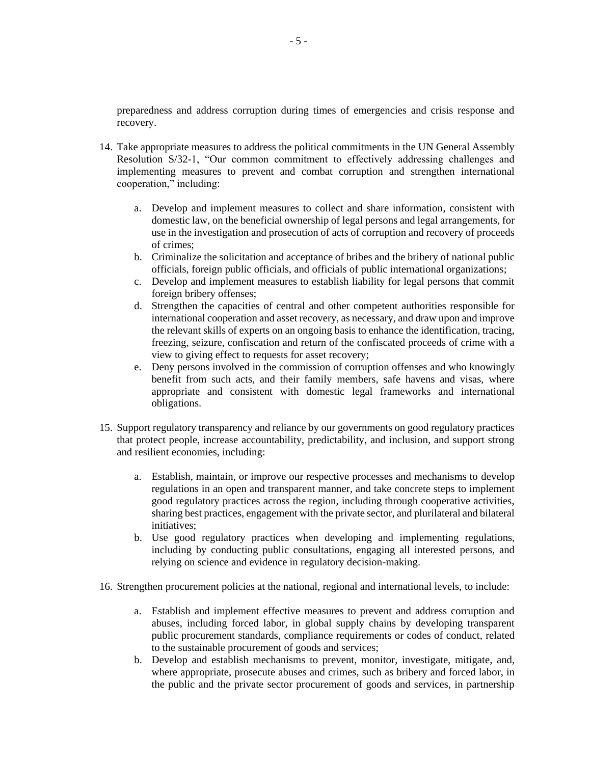preparedness and address corruption during times of emergencies and crisis response and recovery.

- 14. Take appropriate measures to address the political commitments in the UN General Assembly Resolution S/32-1, "Our common commitment to effectively addressing challenges and implementing measures to prevent and combat corruption and strengthen international cooperation," including:
	- a. Develop and implement measures to collect and share information, consistent with domestic law, on the beneficial ownership of legal persons and legal arrangements, for use in the investigation and prosecution of acts of corruption and recovery of proceeds of crimes;
	- b. Criminalize the solicitation and acceptance of bribes and the bribery of national public officials, foreign public officials, and officials of public international organizations;
	- c. Develop and implement measures to establish liability for legal persons that commit foreign bribery offenses;
	- d. Strengthen the capacities of central and other competent authorities responsible for international cooperation and asset recovery, as necessary, and draw upon and improve the relevant skills of experts on an ongoing basis to enhance the identification, tracing, freezing, seizure, confiscation and return of the confiscated proceeds of crime with a view to giving effect to requests for asset recovery;
	- e. Deny persons involved in the commission of corruption offenses and who knowingly benefit from such acts, and their family members, safe havens and visas, where appropriate and consistent with domestic legal frameworks and international obligations.
- 15. Support regulatory transparency and reliance by our governments on good regulatory practices that protect people, increase accountability, predictability, and inclusion, and support strong and resilient economies, including:
	- a. Establish, maintain, or improve our respective processes and mechanisms to develop regulations in an open and transparent manner, and take concrete steps to implement good regulatory practices across the region, including through cooperative activities, sharing best practices, engagement with the private sector, and plurilateral and bilateral initiatives;
	- b. Use good regulatory practices when developing and implementing regulations, including by conducting public consultations, engaging all interested persons, and relying on science and evidence in regulatory decision-making.
- 16. Strengthen procurement policies at the national, regional and international levels, to include:
	- a. Establish and implement effective measures to prevent and address corruption and abuses, including forced labor, in global supply chains by developing transparent public procurement standards, compliance requirements or codes of conduct, related to the sustainable procurement of goods and services;
	- b. Develop and establish mechanisms to prevent, monitor, investigate, mitigate, and, where appropriate, prosecute abuses and crimes, such as bribery and forced labor, in the public and the private sector procurement of goods and services, in partnership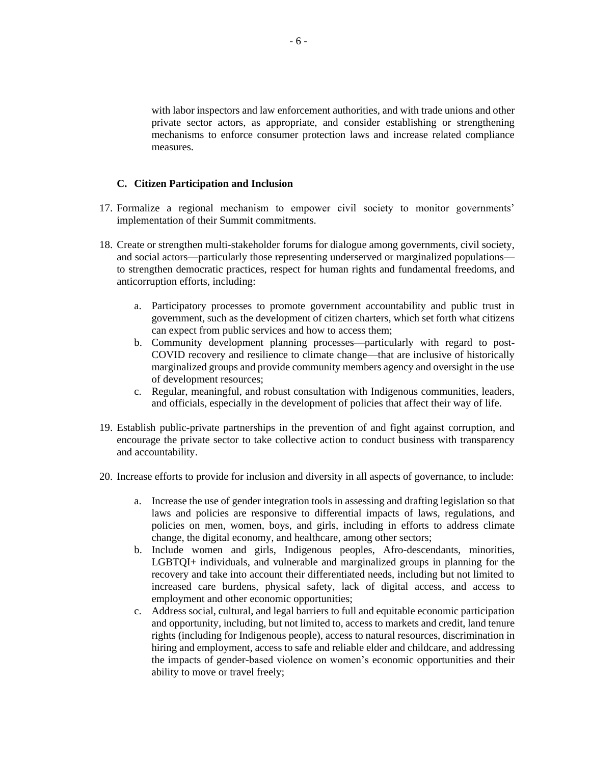with labor inspectors and law enforcement authorities, and with trade unions and other private sector actors, as appropriate, and consider establishing or strengthening mechanisms to enforce consumer protection laws and increase related compliance measures.

#### **C. Citizen Participation and Inclusion**

- 17. Formalize a regional mechanism to empower civil society to monitor governments' implementation of their Summit commitments.
- 18. Create or strengthen multi-stakeholder forums for dialogue among governments, civil society, and social actors—particularly those representing underserved or marginalized populations to strengthen democratic practices, respect for human rights and fundamental freedoms, and anticorruption efforts, including:
	- a. Participatory processes to promote government accountability and public trust in government, such as the development of citizen charters, which set forth what citizens can expect from public services and how to access them;
	- b. Community development planning processes—particularly with regard to post-COVID recovery and resilience to climate change—that are inclusive of historically marginalized groups and provide community members agency and oversight in the use of development resources;
	- c. Regular, meaningful, and robust consultation with Indigenous communities, leaders, and officials, especially in the development of policies that affect their way of life.
- 19. Establish public-private partnerships in the prevention of and fight against corruption, and encourage the private sector to take collective action to conduct business with transparency and accountability.
- 20. Increase efforts to provide for inclusion and diversity in all aspects of governance, to include:
	- a. Increase the use of gender integration tools in assessing and drafting legislation so that laws and policies are responsive to differential impacts of laws, regulations, and policies on men, women, boys, and girls, including in efforts to address climate change, the digital economy, and healthcare, among other sectors;
	- b. Include women and girls, Indigenous peoples, Afro-descendants, minorities, LGBTQI+ individuals, and vulnerable and marginalized groups in planning for the recovery and take into account their differentiated needs, including but not limited to increased care burdens, physical safety, lack of digital access, and access to employment and other economic opportunities;
	- c. Address social, cultural, and legal barriers to full and equitable economic participation and opportunity, including, but not limited to, access to markets and credit, land tenure rights (including for Indigenous people), access to natural resources, discrimination in hiring and employment, access to safe and reliable elder and childcare, and addressing the impacts of gender-based violence on women's economic opportunities and their ability to move or travel freely;